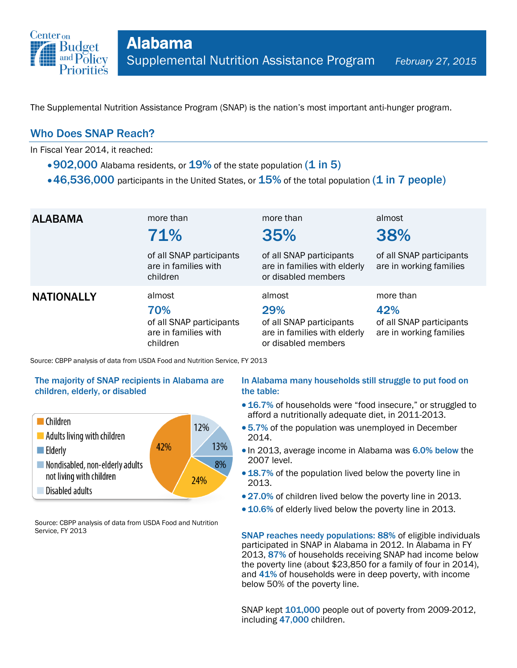

The Supplemental Nutrition Assistance Program (SNAP) is the nation's most important anti-hunger program.

### Who Does SNAP Reach?

In Fiscal Year 2014, it reached:

- $\cdot$  902,000 Alabama residents, or  $19\%$  of the state population (1 in 5)
- $\cdot$  46,536,000 participants in the United States, or  $15\%$  of the total population (1 in 7 people)

| <b>ALABAMA</b>    | more than<br>71%                                                              | more than<br>35%                                                                                 | almost<br>38%                                                           |
|-------------------|-------------------------------------------------------------------------------|--------------------------------------------------------------------------------------------------|-------------------------------------------------------------------------|
|                   | of all SNAP participants<br>are in families with<br>children                  | of all SNAP participants<br>are in families with elderly<br>or disabled members                  | of all SNAP participants<br>are in working families                     |
| <b>NATIONALLY</b> | almost<br>70%<br>of all SNAP participants<br>are in families with<br>children | almost<br>29%<br>of all SNAP participants<br>are in families with elderly<br>or disabled members | more than<br>42%<br>of all SNAP participants<br>are in working families |

Source: CBPP analysis of data from USDA Food and Nutrition Service, FY 2013

### The majority of SNAP recipients in Alabama are children, elderly, or disabled



Source: CBPP analysis of data from USDA Food and Nutrition Service, FY 2013

### In Alabama many households still struggle to put food on the table:

- 16.7% of households were "food insecure," or struggled to afford a nutritionally adequate diet, in 2011-2013.
- 5.7% of the population was unemployed in December 2014.
- In 2013, average income in Alabama was 6.0% below the 2007 level.
- 18.7% of the population lived below the poverty line in 2013.
- 27.0% of children lived below the poverty line in 2013.
- 10.6% of elderly lived below the poverty line in 2013.

SNAP reaches needy populations: 88% of eligible individuals participated in SNAP in Alabama in 2012. In Alabama in FY 2013, 87% of households receiving SNAP had income below the poverty line (about \$23,850 for a family of four in 2014), and 41% of households were in deep poverty, with income below 50% of the poverty line.

SNAP kept  $101,000$  people out of poverty from 2009-2012, including 47,000 children.